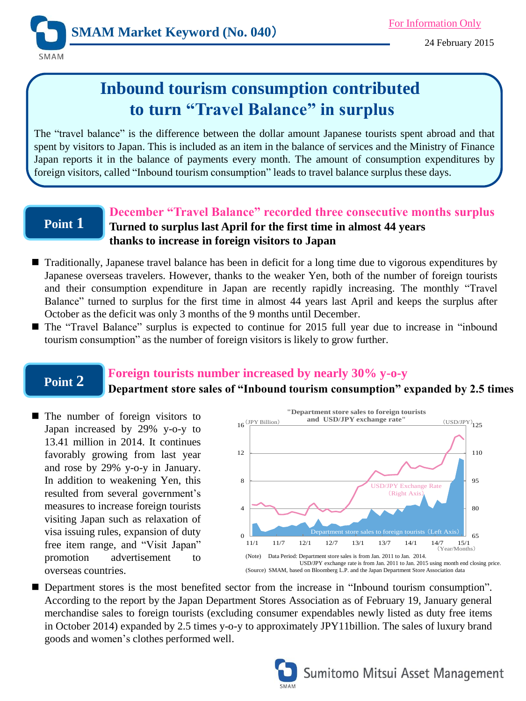

# **Inbound tourism consumption contributed to turn "Travel Balance" in surplus**

The "travel balance" is the difference between the dollar amount Japanese tourists spent abroad and that spent by visitors to Japan. This is included as an item in the balance of services and the Ministry of Finance Japan reports it in the balance of payments every month. The amount of consumption expenditures by foreign visitors, called "Inbound tourism consumption" leads to travel balance surplus these days.

# **Point 1**

### **December "Travel Balance" recorded three consecutive months surplus Turned to surplus last April for the first time in almost 44 years thanks to increase in foreign visitors to Japan**

- Traditionally, Japanese travel balance has been in deficit for a long time due to vigorous expenditures by Japanese overseas travelers. However, thanks to the weaker Yen, both of the number of foreign tourists and their consumption expenditure in Japan are recently rapidly increasing. The monthly "Travel Balance" turned to surplus for the first time in almost 44 years last April and keeps the surplus after October as the deficit was only 3 months of the 9 months until December.
- The "Travel Balance" surplus is expected to continue for 2015 full year due to increase in "inbound tourism consumption" as the number of foreign visitors is likely to grow further.

# **Point 2**

### **Foreign tourists number increased by nearly 30% y-o-y**

### **Department store sales of "Inbound tourism consumption" expanded by 2.5 times**

■ The number of foreign visitors to Japan increased by 29% y-o-y to 13.41 million in 2014. It continues favorably growing from last year and rose by 29% y-o-y in January. In addition to weakening Yen, this resulted from several government's measures to increase foreign tourists visiting Japan such as relaxation of visa issuing rules, expansion of duty free item range, and "Visit Japan" promotion advertisement to overseas countries.



■ Department stores is the most benefited sector from the increase in "Inbound tourism consumption". According to the report by the Japan Department Stores Association as of February 19, January general merchandise sales to foreign tourists (excluding consumer expendables newly listed as duty free items in October 2014) expanded by 2.5 times y-o-y to approximately JPY11billion. The sales of luxury brand goods and women's clothes performed well.